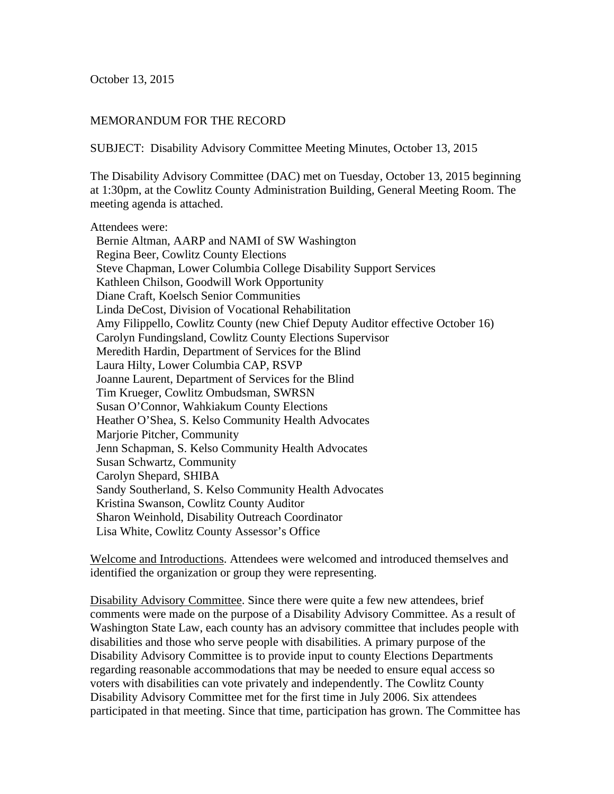October 13, 2015

## MEMORANDUM FOR THE RECORD

SUBJECT: Disability Advisory Committee Meeting Minutes, October 13, 2015

The Disability Advisory Committee (DAC) met on Tuesday, October 13, 2015 beginning at 1:30pm, at the Cowlitz County Administration Building, General Meeting Room. The meeting agenda is attached.

Attendees were:

 Bernie Altman, AARP and NAMI of SW Washington Regina Beer, Cowlitz County Elections Steve Chapman, Lower Columbia College Disability Support Services Kathleen Chilson, Goodwill Work Opportunity Diane Craft, Koelsch Senior Communities Linda DeCost, Division of Vocational Rehabilitation Amy Filippello, Cowlitz County (new Chief Deputy Auditor effective October 16) Carolyn Fundingsland, Cowlitz County Elections Supervisor Meredith Hardin, Department of Services for the Blind Laura Hilty, Lower Columbia CAP, RSVP Joanne Laurent, Department of Services for the Blind Tim Krueger, Cowlitz Ombudsman, SWRSN Susan O'Connor, Wahkiakum County Elections Heather O'Shea, S. Kelso Community Health Advocates Marjorie Pitcher, Community Jenn Schapman, S. Kelso Community Health Advocates Susan Schwartz, Community Carolyn Shepard, SHIBA Sandy Southerland, S. Kelso Community Health Advocates Kristina Swanson, Cowlitz County Auditor Sharon Weinhold, Disability Outreach Coordinator Lisa White, Cowlitz County Assessor's Office

Welcome and Introductions. Attendees were welcomed and introduced themselves and identified the organization or group they were representing.

Disability Advisory Committee. Since there were quite a few new attendees, brief comments were made on the purpose of a Disability Advisory Committee. As a result of Washington State Law, each county has an advisory committee that includes people with disabilities and those who serve people with disabilities. A primary purpose of the Disability Advisory Committee is to provide input to county Elections Departments regarding reasonable accommodations that may be needed to ensure equal access so voters with disabilities can vote privately and independently. The Cowlitz County Disability Advisory Committee met for the first time in July 2006. Six attendees participated in that meeting. Since that time, participation has grown. The Committee has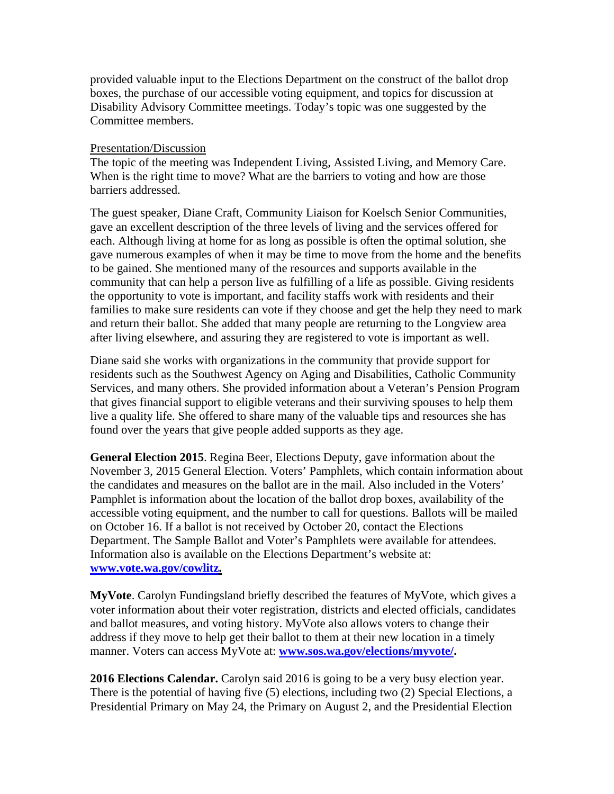provided valuable input to the Elections Department on the construct of the ballot drop boxes, the purchase of our accessible voting equipment, and topics for discussion at Disability Advisory Committee meetings. Today's topic was one suggested by the Committee members.

## Presentation/Discussion

The topic of the meeting was Independent Living, Assisted Living, and Memory Care. When is the right time to move? What are the barriers to voting and how are those barriers addressed.

The guest speaker, Diane Craft, Community Liaison for Koelsch Senior Communities, gave an excellent description of the three levels of living and the services offered for each. Although living at home for as long as possible is often the optimal solution, she gave numerous examples of when it may be time to move from the home and the benefits to be gained. She mentioned many of the resources and supports available in the community that can help a person live as fulfilling of a life as possible. Giving residents the opportunity to vote is important, and facility staffs work with residents and their families to make sure residents can vote if they choose and get the help they need to mark and return their ballot. She added that many people are returning to the Longview area after living elsewhere, and assuring they are registered to vote is important as well.

Diane said she works with organizations in the community that provide support for residents such as the Southwest Agency on Aging and Disabilities, Catholic Community Services, and many others. She provided information about a Veteran's Pension Program that gives financial support to eligible veterans and their surviving spouses to help them live a quality life. She offered to share many of the valuable tips and resources she has found over the years that give people added supports as they age.

**General Election 2015**. Regina Beer, Elections Deputy, gave information about the November 3, 2015 General Election. Voters' Pamphlets, which contain information about the candidates and measures on the ballot are in the mail. Also included in the Voters' Pamphlet is information about the location of the ballot drop boxes, availability of the accessible voting equipment, and the number to call for questions. Ballots will be mailed on October 16. If a ballot is not received by October 20, contact the Elections Department. The Sample Ballot and Voter's Pamphlets were available for attendees. Information also is available on the Elections Department's website at: **www.vote.wa.gov/cowlitz.** 

**MyVote**. Carolyn Fundingsland briefly described the features of MyVote, which gives a voter information about their voter registration, districts and elected officials, candidates and ballot measures, and voting history. MyVote also allows voters to change their address if they move to help get their ballot to them at their new location in a timely manner. Voters can access MyVote at: **www.sos.wa.gov/elections/myvote/.**

**2016 Elections Calendar.** Carolyn said 2016 is going to be a very busy election year. There is the potential of having five (5) elections, including two (2) Special Elections, a Presidential Primary on May 24, the Primary on August 2, and the Presidential Election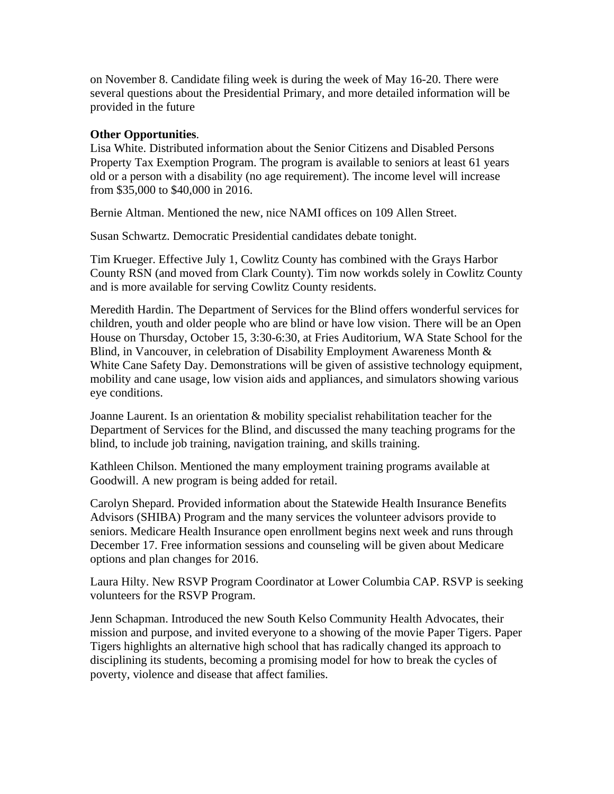on November 8. Candidate filing week is during the week of May 16-20. There were several questions about the Presidential Primary, and more detailed information will be provided in the future

## **Other Opportunities**.

Lisa White. Distributed information about the Senior Citizens and Disabled Persons Property Tax Exemption Program. The program is available to seniors at least 61 years old or a person with a disability (no age requirement). The income level will increase from \$35,000 to \$40,000 in 2016.

Bernie Altman. Mentioned the new, nice NAMI offices on 109 Allen Street.

Susan Schwartz. Democratic Presidential candidates debate tonight.

Tim Krueger. Effective July 1, Cowlitz County has combined with the Grays Harbor County RSN (and moved from Clark County). Tim now workds solely in Cowlitz County and is more available for serving Cowlitz County residents.

Meredith Hardin. The Department of Services for the Blind offers wonderful services for children, youth and older people who are blind or have low vision. There will be an Open House on Thursday, October 15, 3:30-6:30, at Fries Auditorium, WA State School for the Blind, in Vancouver, in celebration of Disability Employment Awareness Month & White Cane Safety Day. Demonstrations will be given of assistive technology equipment, mobility and cane usage, low vision aids and appliances, and simulators showing various eye conditions.

Joanne Laurent. Is an orientation & mobility specialist rehabilitation teacher for the Department of Services for the Blind, and discussed the many teaching programs for the blind, to include job training, navigation training, and skills training.

Kathleen Chilson. Mentioned the many employment training programs available at Goodwill. A new program is being added for retail.

Carolyn Shepard. Provided information about the Statewide Health Insurance Benefits Advisors (SHIBA) Program and the many services the volunteer advisors provide to seniors. Medicare Health Insurance open enrollment begins next week and runs through December 17. Free information sessions and counseling will be given about Medicare options and plan changes for 2016.

Laura Hilty. New RSVP Program Coordinator at Lower Columbia CAP. RSVP is seeking volunteers for the RSVP Program.

Jenn Schapman. Introduced the new South Kelso Community Health Advocates, their mission and purpose, and invited everyone to a showing of the movie Paper Tigers. Paper Tigers highlights an alternative high school that has radically changed its approach to disciplining its students, becoming a promising model for how to break the cycles of poverty, violence and disease that affect families.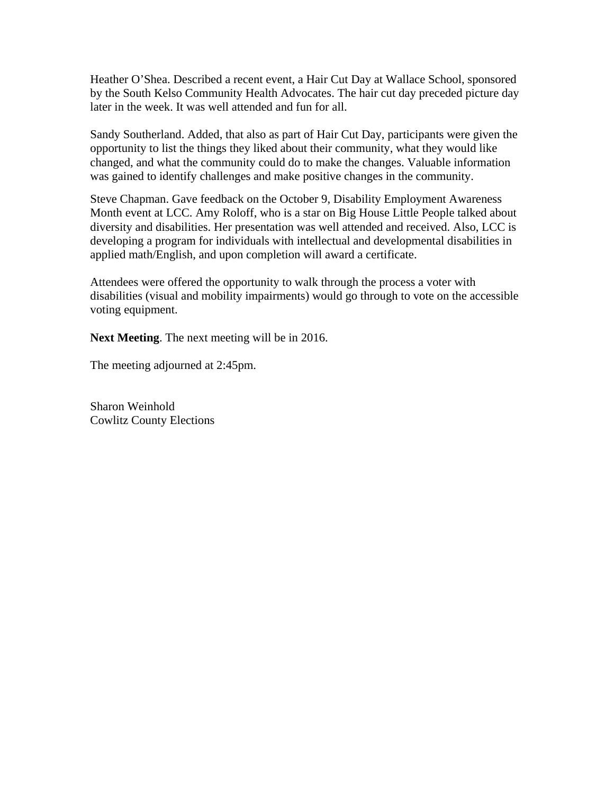Heather O'Shea. Described a recent event, a Hair Cut Day at Wallace School, sponsored by the South Kelso Community Health Advocates. The hair cut day preceded picture day later in the week. It was well attended and fun for all.

Sandy Southerland. Added, that also as part of Hair Cut Day, participants were given the opportunity to list the things they liked about their community, what they would like changed, and what the community could do to make the changes. Valuable information was gained to identify challenges and make positive changes in the community.

Steve Chapman. Gave feedback on the October 9, Disability Employment Awareness Month event at LCC. Amy Roloff, who is a star on Big House Little People talked about diversity and disabilities. Her presentation was well attended and received. Also, LCC is developing a program for individuals with intellectual and developmental disabilities in applied math/English, and upon completion will award a certificate.

Attendees were offered the opportunity to walk through the process a voter with disabilities (visual and mobility impairments) would go through to vote on the accessible voting equipment.

**Next Meeting**. The next meeting will be in 2016.

The meeting adjourned at 2:45pm.

Sharon Weinhold Cowlitz County Elections